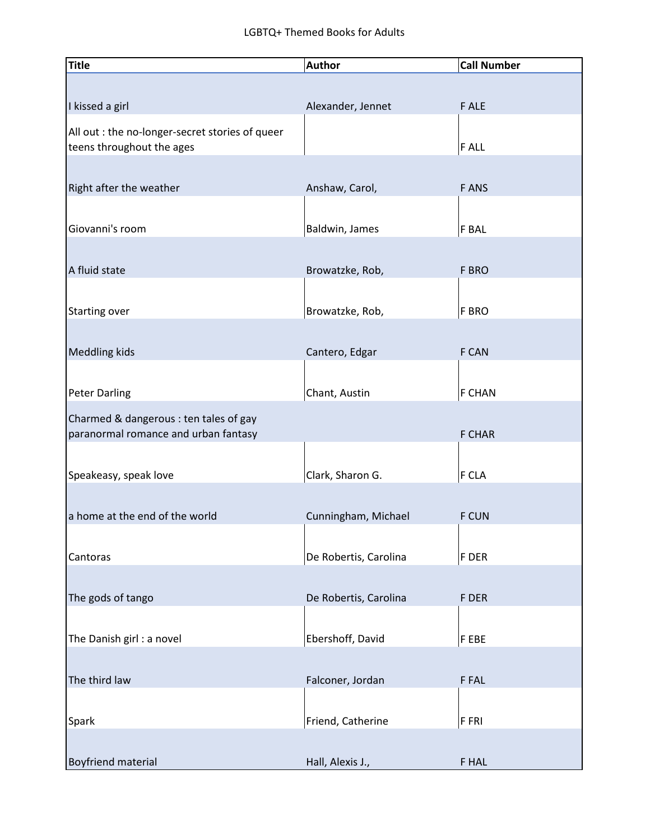## LGBTQ+ Themed Books for Adults

| Title                                           | <b>Author</b>         | <b>Call Number</b> |
|-------------------------------------------------|-----------------------|--------------------|
|                                                 |                       |                    |
| I kissed a girl                                 | Alexander, Jennet     | F ALE              |
| All out : the no-longer-secret stories of queer |                       |                    |
| teens throughout the ages                       |                       | <b>FALL</b>        |
|                                                 |                       |                    |
| Right after the weather                         | Anshaw, Carol,        | <b>FANS</b>        |
|                                                 |                       |                    |
| Giovanni's room                                 | Baldwin, James        | <b>F BAL</b>       |
|                                                 |                       |                    |
| A fluid state                                   | Browatzke, Rob,       | F BRO              |
|                                                 |                       |                    |
| <b>Starting over</b>                            | Browatzke, Rob,       | <b>F BRO</b>       |
|                                                 |                       |                    |
| <b>Meddling kids</b>                            | Cantero, Edgar        | F CAN              |
|                                                 |                       |                    |
| <b>Peter Darling</b>                            | Chant, Austin         | <b>F CHAN</b>      |
| Charmed & dangerous : ten tales of gay          |                       |                    |
| paranormal romance and urban fantasy            |                       | <b>F CHAR</b>      |
|                                                 |                       |                    |
| Speakeasy, speak love                           | Clark, Sharon G.      | F CLA              |
| a home at the end of the world                  | Cunningham, Michael   | <b>F CUN</b>       |
|                                                 |                       |                    |
| Cantoras                                        | De Robertis, Carolina | F DER              |
|                                                 |                       |                    |
| The gods of tango                               | De Robertis, Carolina | F DER              |
|                                                 |                       |                    |
| The Danish girl : a novel                       | Ebershoff, David      | F EBE              |
|                                                 |                       |                    |
| The third law                                   | Falconer, Jordan      | F FAL              |
|                                                 |                       |                    |
| Spark                                           | Friend, Catherine     | F FRI              |
|                                                 |                       |                    |
| <b>Boyfriend material</b>                       | Hall, Alexis J.,      | F HAL              |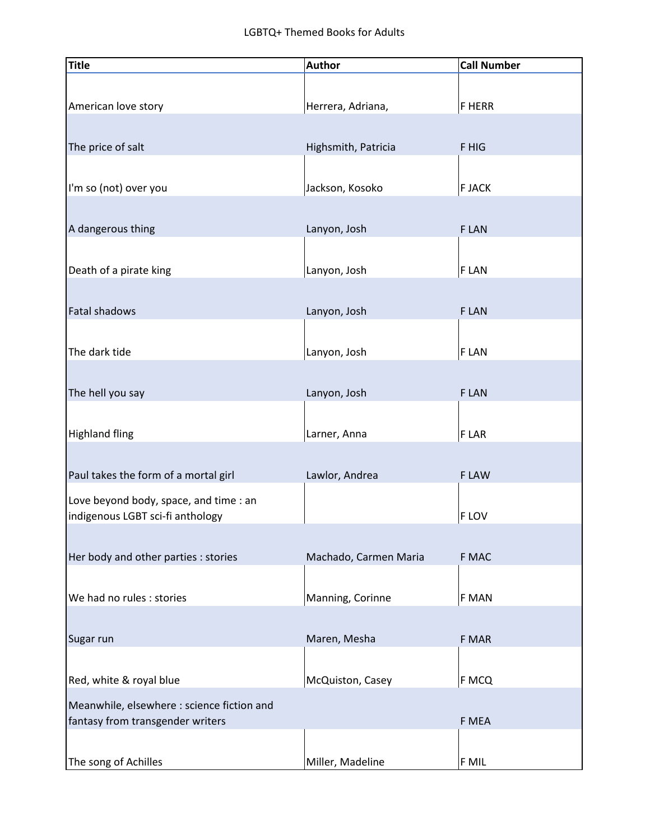| Title                                                                          | <b>Author</b>         | <b>Call Number</b> |
|--------------------------------------------------------------------------------|-----------------------|--------------------|
| American love story                                                            | Herrera, Adriana,     | <b>F HERR</b>      |
| The price of salt                                                              | Highsmith, Patricia   | F HIG              |
| I'm so (not) over you                                                          | Jackson, Kosoko       | <b>F JACK</b>      |
| A dangerous thing                                                              | Lanyon, Josh          | F LAN              |
| Death of a pirate king                                                         | Lanyon, Josh          | F LAN              |
| Fatal shadows                                                                  | Lanyon, Josh          | <b>FLAN</b>        |
| The dark tide                                                                  | Lanyon, Josh          | F LAN              |
| The hell you say                                                               | Lanyon, Josh          | <b>FLAN</b>        |
| <b>Highland fling</b>                                                          | Larner, Anna          | F LAR              |
| Paul takes the form of a mortal girl                                           | Lawlor, Andrea        | F LAW              |
| Love beyond body, space, and time : an<br>indigenous LGBT sci-fi anthology     |                       | F LOV              |
| Her body and other parties : stories                                           | Machado, Carmen Maria | F MAC              |
| We had no rules : stories                                                      | Manning, Corinne      | F MAN              |
| Sugar run                                                                      | Maren, Mesha          | F MAR              |
| Red, white & royal blue                                                        | McQuiston, Casey      | F MCQ              |
| Meanwhile, elsewhere : science fiction and<br>fantasy from transgender writers |                       | F MEA              |
| The song of Achilles                                                           | Miller, Madeline      | F MIL              |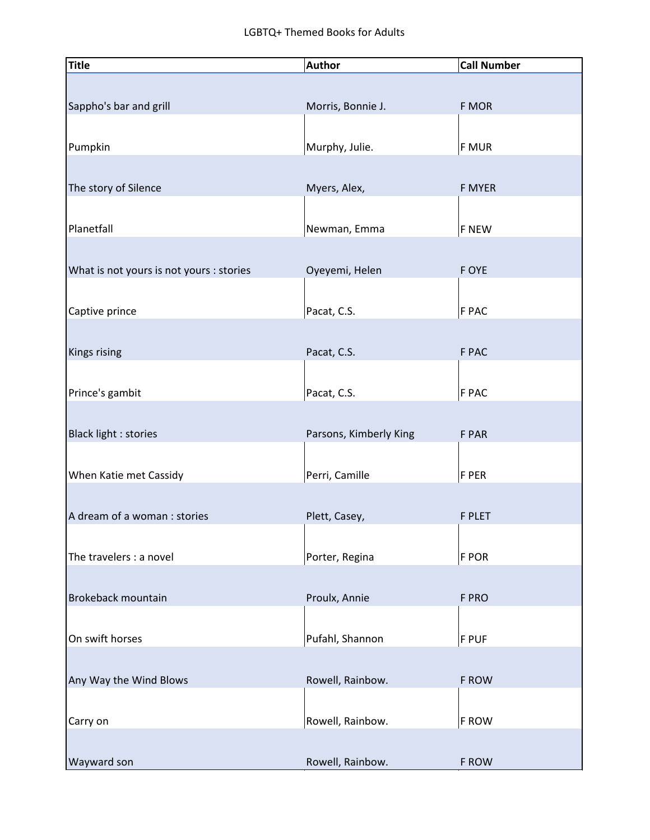| <b>Title</b>                             | <b>Author</b>          | <b>Call Number</b> |
|------------------------------------------|------------------------|--------------------|
|                                          |                        |                    |
| Sappho's bar and grill                   | Morris, Bonnie J.      | F MOR              |
|                                          |                        |                    |
| Pumpkin                                  | Murphy, Julie.         | <b>F MUR</b>       |
|                                          |                        |                    |
| The story of Silence                     | Myers, Alex,           | F MYER             |
|                                          |                        |                    |
| Planetfall                               | Newman, Emma           | <b>F NEW</b>       |
|                                          |                        |                    |
| What is not yours is not yours : stories | Oyeyemi, Helen         | F OYE              |
|                                          |                        |                    |
| Captive prince                           | Pacat, C.S.            | F PAC              |
|                                          |                        |                    |
| <b>Kings rising</b>                      | Pacat, C.S.            | F PAC              |
|                                          |                        |                    |
| Prince's gambit                          | Pacat, C.S.            | F PAC              |
|                                          |                        |                    |
| Black light : stories                    | Parsons, Kimberly King | F PAR              |
|                                          |                        |                    |
| When Katie met Cassidy                   | Perri, Camille         | F PER              |
|                                          |                        |                    |
| A dream of a woman : stories             | Plett, Casey,          | <b>F PLET</b>      |
|                                          |                        |                    |
| The travelers : a novel                  | Porter, Regina         | F POR              |
|                                          |                        |                    |
| Brokeback mountain                       | Proulx, Annie          | F PRO              |
|                                          |                        |                    |
| On swift horses                          | Pufahl, Shannon        | F PUF              |
|                                          |                        |                    |
| Any Way the Wind Blows                   | Rowell, Rainbow.       | F ROW              |
|                                          |                        |                    |
| Carry on                                 | Rowell, Rainbow.       | F ROW              |
|                                          |                        |                    |
| Wayward son                              | Rowell, Rainbow.       | F ROW              |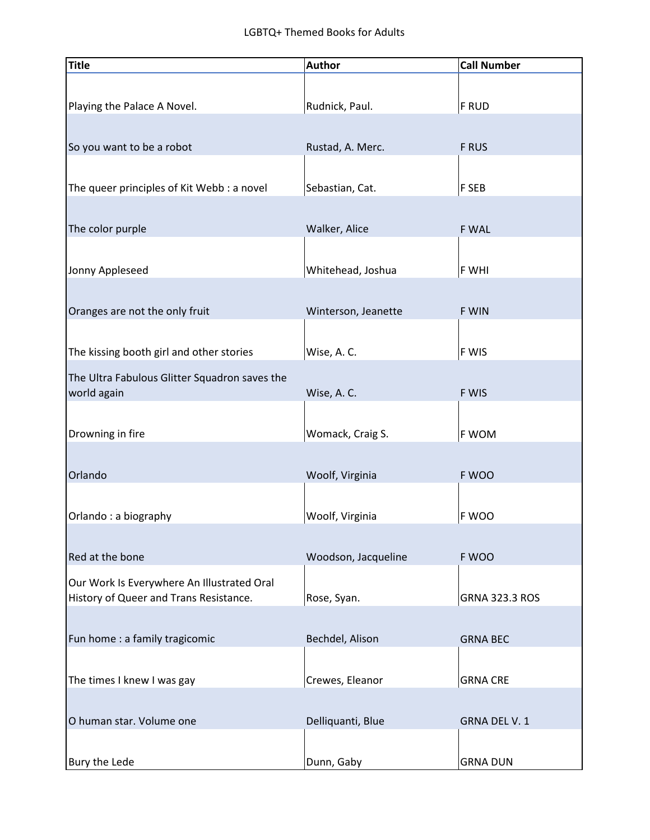| <b>Title</b>                                                                         | <b>Author</b>       | <b>Call Number</b>    |
|--------------------------------------------------------------------------------------|---------------------|-----------------------|
|                                                                                      |                     |                       |
| Playing the Palace A Novel.                                                          | Rudnick, Paul.      | <b>F RUD</b>          |
|                                                                                      |                     |                       |
| So you want to be a robot                                                            | Rustad, A. Merc.    | F RUS                 |
|                                                                                      |                     |                       |
| The queer principles of Kit Webb : a novel                                           | Sebastian, Cat.     | F SEB                 |
|                                                                                      |                     |                       |
| The color purple                                                                     | Walker, Alice       | F WAL                 |
|                                                                                      |                     |                       |
| Jonny Appleseed                                                                      | Whitehead, Joshua   | F WHI                 |
| Oranges are not the only fruit                                                       | Winterson, Jeanette | F WIN                 |
|                                                                                      |                     |                       |
| The kissing booth girl and other stories                                             | Wise, A.C.          | F WIS                 |
| The Ultra Fabulous Glitter Squadron saves the                                        |                     |                       |
| world again                                                                          | Wise, A.C.          | F WIS                 |
|                                                                                      |                     |                       |
| Drowning in fire                                                                     | Womack, Craig S.    | F WOM                 |
|                                                                                      |                     |                       |
| Orlando                                                                              | Woolf, Virginia     | F WOO                 |
|                                                                                      |                     |                       |
| Orlando: a biography                                                                 | Woolf, Virginia     | F WOO                 |
|                                                                                      |                     |                       |
| Red at the bone                                                                      | Woodson, Jacqueline | F WOO                 |
| Our Work Is Everywhere An Illustrated Oral<br>History of Queer and Trans Resistance. | Rose, Syan.         | <b>GRNA 323.3 ROS</b> |
|                                                                                      |                     |                       |
| Fun home : a family tragicomic                                                       | Bechdel, Alison     | <b>GRNA BEC</b>       |
|                                                                                      |                     |                       |
| The times I knew I was gay                                                           | Crewes, Eleanor     | <b>GRNA CRE</b>       |
|                                                                                      |                     |                       |
| O human star. Volume one                                                             | Delliquanti, Blue   | GRNA DEL V. 1         |
|                                                                                      |                     |                       |
| Bury the Lede                                                                        | Dunn, Gaby          | <b>GRNA DUN</b>       |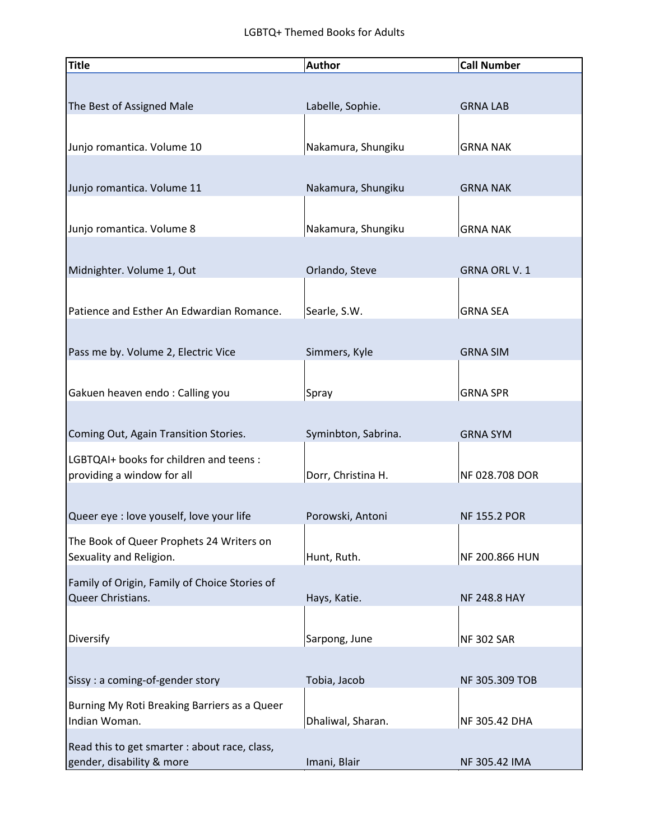| <b>Title</b>                                  | <b>Author</b>       | <b>Call Number</b>  |
|-----------------------------------------------|---------------------|---------------------|
|                                               |                     |                     |
| The Best of Assigned Male                     | Labelle, Sophie.    | <b>GRNA LAB</b>     |
|                                               |                     |                     |
| Junjo romantica. Volume 10                    | Nakamura, Shungiku  | <b>GRNA NAK</b>     |
|                                               |                     |                     |
| Junjo romantica. Volume 11                    | Nakamura, Shungiku  | <b>GRNA NAK</b>     |
| Junjo romantica. Volume 8                     | Nakamura, Shungiku  | <b>GRNA NAK</b>     |
|                                               |                     |                     |
| Midnighter. Volume 1, Out                     | Orlando, Steve      | <b>GRNA ORL V.1</b> |
|                                               |                     |                     |
| Patience and Esther An Edwardian Romance.     | Searle, S.W.        | <b>GRNA SEA</b>     |
| Pass me by. Volume 2, Electric Vice           | Simmers, Kyle       | <b>GRNA SIM</b>     |
|                                               |                     |                     |
| Gakuen heaven endo: Calling you               | Spray               | <b>GRNA SPR</b>     |
|                                               |                     |                     |
| Coming Out, Again Transition Stories.         | Syminbton, Sabrina. | <b>GRNA SYM</b>     |
| LGBTQAI+ books for children and teens :       |                     |                     |
| providing a window for all                    | Dorr, Christina H.  | NF 028.708 DOR      |
| Queer eye : love youself, love your life      | Porowski, Antoni    | <b>NF 155.2 POR</b> |
| The Book of Queer Prophets 24 Writers on      |                     |                     |
| Sexuality and Religion.                       | Hunt, Ruth.         | NF 200.866 HUN      |
| Family of Origin, Family of Choice Stories of |                     |                     |
| Queer Christians.                             | Hays, Katie.        | <b>NF 248.8 HAY</b> |
| Diversify                                     | Sarpong, June       |                     |
|                                               |                     | <b>NF 302 SAR</b>   |
| Sissy : a coming-of-gender story              | Tobia, Jacob        | NF 305.309 TOB      |
| Burning My Roti Breaking Barriers as a Queer  |                     |                     |
| Indian Woman.                                 | Dhaliwal, Sharan.   | NF 305.42 DHA       |
| Read this to get smarter : about race, class, |                     |                     |
| gender, disability & more                     | Imani, Blair        | NF 305.42 IMA       |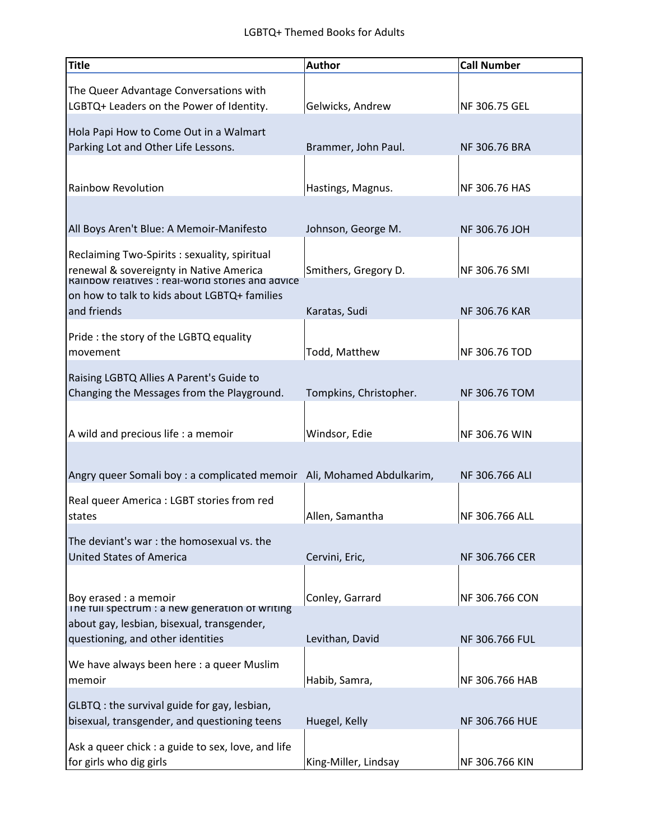| <b>Title</b>                                                                                                                                  | <b>Author</b>          | <b>Call Number</b>   |
|-----------------------------------------------------------------------------------------------------------------------------------------------|------------------------|----------------------|
| The Queer Advantage Conversations with<br>LGBTQ+ Leaders on the Power of Identity.                                                            | Gelwicks, Andrew       | NF 306.75 GEL        |
| Hola Papi How to Come Out in a Walmart<br>Parking Lot and Other Life Lessons.                                                                 | Brammer, John Paul.    | NF 306.76 BRA        |
| <b>Rainbow Revolution</b>                                                                                                                     | Hastings, Magnus.      | NF 306.76 HAS        |
| All Boys Aren't Blue: A Memoir-Manifesto                                                                                                      | Johnson, George M.     | NF 306.76 JOH        |
| Reclaiming Two-Spirits : sexuality, spiritual<br>renewal & sovereignty in Native America<br>Rainbow relatives : real-world stories and advice | Smithers, Gregory D.   | NF 306.76 SMI        |
| on how to talk to kids about LGBTQ+ families<br>and friends                                                                                   | Karatas, Sudi          | <b>NF 306.76 KAR</b> |
| Pride: the story of the LGBTQ equality<br>movement                                                                                            | Todd, Matthew          | NF 306.76 TOD        |
| Raising LGBTQ Allies A Parent's Guide to<br>Changing the Messages from the Playground.                                                        | Tompkins, Christopher. | NF 306.76 TOM        |
| A wild and precious life : a memoir                                                                                                           | Windsor, Edie          | NF 306.76 WIN        |
| Angry queer Somali boy : a complicated memoir Ali, Mohamed Abdulkarim,                                                                        |                        | NF 306.766 ALI       |
| Real queer America : LGBT stories from red<br>states                                                                                          | Allen, Samantha        | NF 306.766 ALL       |
| The deviant's war: the homosexual vs. the<br><b>United States of America</b>                                                                  | Cervini, Eric,         | NF 306.766 CER       |
| Boy erased : a memoir<br>The full spectrum : a new generation of writing                                                                      | Conley, Garrard        | NF 306.766 CON       |
| about gay, lesbian, bisexual, transgender,<br>questioning, and other identities                                                               | Levithan, David        | NF 306.766 FUL       |
| We have always been here : a queer Muslim<br>memoir                                                                                           | Habib, Samra,          | NF 306.766 HAB       |
| GLBTQ : the survival guide for gay, lesbian,<br>bisexual, transgender, and questioning teens                                                  | Huegel, Kelly          | NF 306.766 HUE       |
| Ask a queer chick : a guide to sex, love, and life<br>for girls who dig girls                                                                 | King-Miller, Lindsay   | NF 306.766 KIN       |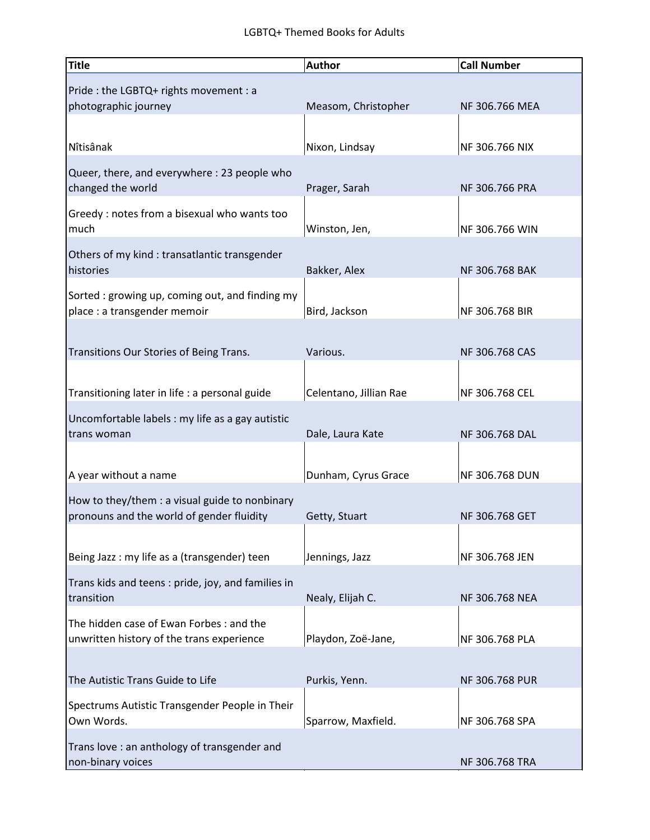| <b>Title</b>                                                                                | <b>Author</b>          | <b>Call Number</b> |
|---------------------------------------------------------------------------------------------|------------------------|--------------------|
| Pride : the LGBTQ+ rights movement : a<br>photographic journey                              | Measom, Christopher    | NF 306.766 MEA     |
| Nîtisânak                                                                                   | Nixon, Lindsay         | NF 306.766 NIX     |
| Queer, there, and everywhere : 23 people who<br>changed the world                           | Prager, Sarah          | NF 306.766 PRA     |
| Greedy : notes from a bisexual who wants too<br>much                                        | Winston, Jen,          | NF 306.766 WIN     |
| Others of my kind : transatlantic transgender<br>histories                                  | Bakker, Alex           | NF 306.768 BAK     |
| Sorted: growing up, coming out, and finding my<br>place : a transgender memoir              | Bird, Jackson          | NF 306.768 BIR     |
| Transitions Our Stories of Being Trans.                                                     | Various.               | NF 306.768 CAS     |
| Transitioning later in life : a personal guide                                              | Celentano, Jillian Rae | NF 306.768 CEL     |
| Uncomfortable labels : my life as a gay autistic<br>trans woman                             | Dale, Laura Kate       | NF 306.768 DAL     |
| A year without a name                                                                       | Dunham, Cyrus Grace    | NF 306.768 DUN     |
| How to they/them : a visual guide to nonbinary<br>pronouns and the world of gender fluidity | Getty, Stuart          | NF 306.768 GET     |
| Being Jazz: my life as a (transgender) teen                                                 | Jennings, Jazz         | NF 306.768 JEN     |
| Trans kids and teens : pride, joy, and families in<br>transition                            | Nealy, Elijah C.       | NF 306.768 NEA     |
| The hidden case of Ewan Forbes : and the<br>unwritten history of the trans experience       | Playdon, Zoë-Jane,     | NF 306.768 PLA     |
| The Autistic Trans Guide to Life                                                            | Purkis, Yenn.          | NF 306.768 PUR     |
| Spectrums Autistic Transgender People in Their<br>Own Words.                                | Sparrow, Maxfield.     | NF 306.768 SPA     |
| Trans love: an anthology of transgender and<br>non-binary voices                            |                        | NF 306.768 TRA     |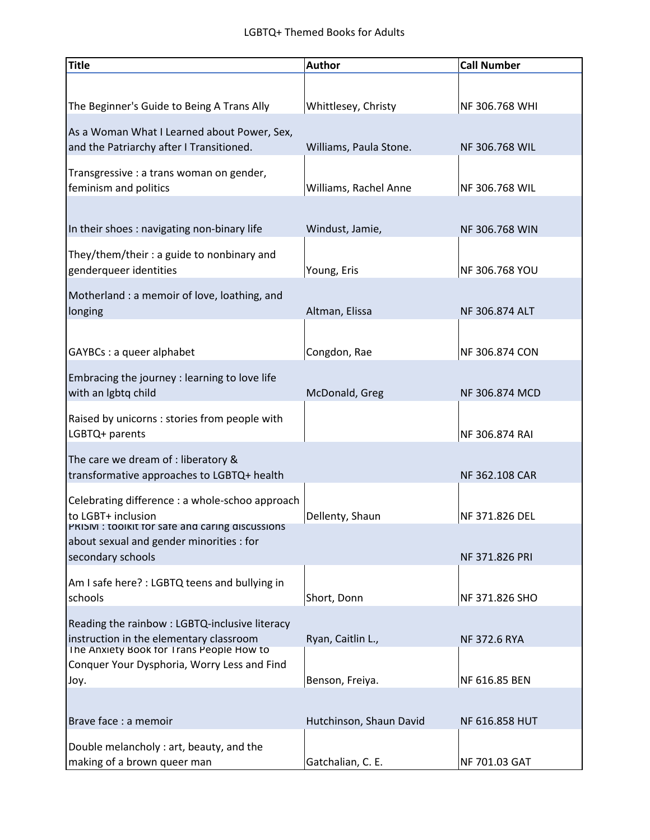| <b>Title</b>                                                                        | <b>Author</b>           | <b>Call Number</b>  |
|-------------------------------------------------------------------------------------|-------------------------|---------------------|
|                                                                                     |                         |                     |
| The Beginner's Guide to Being A Trans Ally                                          | Whittlesey, Christy     | NF 306.768 WHI      |
| As a Woman What I Learned about Power, Sex,                                         |                         |                     |
| and the Patriarchy after I Transitioned.                                            | Williams, Paula Stone.  | NF 306.768 WIL      |
| Transgressive : a trans woman on gender,<br>feminism and politics                   | Williams, Rachel Anne   | NF 306.768 WIL      |
|                                                                                     |                         |                     |
| In their shoes: navigating non-binary life                                          | Windust, Jamie,         | NF 306.768 WIN      |
| They/them/their : a guide to nonbinary and<br>genderqueer identities                | Young, Eris             | NF 306.768 YOU      |
| Motherland: a memoir of love, loathing, and                                         |                         |                     |
| longing                                                                             | Altman, Elissa          | NF 306.874 ALT      |
|                                                                                     |                         |                     |
| GAYBCs : a queer alphabet                                                           | Congdon, Rae            | NF 306.874 CON      |
| Embracing the journey : learning to love life                                       |                         |                     |
| with an Igbtq child                                                                 | McDonald, Greg          | NF 306.874 MCD      |
| Raised by unicorns : stories from people with<br>LGBTQ+ parents                     |                         | NF 306.874 RAI      |
| The care we dream of : liberatory &                                                 |                         |                     |
| transformative approaches to LGBTQ+ health                                          |                         | NF 362.108 CAR      |
| Celebrating difference : a whole-schoo approach                                     |                         |                     |
| to LGBT+ inclusion<br>PRISM: toolkit for safe and caring discussions                | Dellenty, Shaun         | NF 371.826 DEL      |
| about sexual and gender minorities : for                                            |                         |                     |
| secondary schools                                                                   |                         | NF 371.826 PRI      |
| Am I safe here? : LGBTQ teens and bullying in                                       |                         |                     |
| schools                                                                             | Short, Donn             | NF 371.826 SHO      |
| Reading the rainbow: LGBTQ-inclusive literacy                                       |                         |                     |
| instruction in the elementary classroom<br>The Anxiety Book for Trans People How to | Ryan, Caitlin L.,       | <b>NF 372.6 RYA</b> |
| Conquer Your Dysphoria, Worry Less and Find                                         |                         |                     |
| Joy.                                                                                | Benson, Freiya.         | NF 616.85 BEN       |
| Brave face : a memoir                                                               | Hutchinson, Shaun David | NF 616.858 HUT      |
| Double melancholy : art, beauty, and the                                            |                         |                     |
| making of a brown queer man                                                         | Gatchalian, C. E.       | NF 701.03 GAT       |